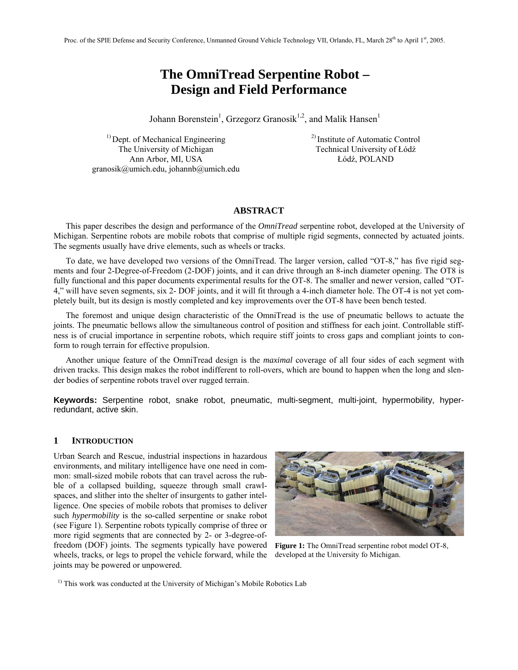# **The OmniTread Serpentine Robot – Design and Field Performance**

Johann Borenstein<sup>1</sup>, Grzegorz Granosik<sup>1,2</sup>, and Malik Hansen<sup>1</sup>

 $1)$  Dept. of Mechanical Engineering  $2)$  Institute of Automatic Control The University of Michigan Technical University of Łódź Ann Arbor, MI, USA Łódź, POLAND granosik@umich.edu, johannb@umich.edu

### **ABSTRACT**

This paper describes the design and performance of the *OmniTread* serpentine robot, developed at the University of Michigan. Serpentine robots are mobile robots that comprise of multiple rigid segments, connected by actuated joints. The segments usually have drive elements, such as wheels or tracks.

To date, we have developed two versions of the OmniTread. The larger version, called "OT-8," has five rigid segments and four 2-Degree-of-Freedom (2-DOF) joints, and it can drive through an 8-inch diameter opening. The OT8 is fully functional and this paper documents experimental results for the OT-8. The smaller and newer version, called "OT-4," will have seven segments, six 2- DOF joints, and it will fit through a 4-inch diameter hole. The OT-4 is not yet completely built, but its design is mostly completed and key improvements over the OT-8 have been bench tested.

The foremost and unique design characteristic of the OmniTread is the use of pneumatic bellows to actuate the joints. The pneumatic bellows allow the simultaneous control of position and stiffness for each joint. Controllable stiffness is of crucial importance in serpentine robots, which require stiff joints to cross gaps and compliant joints to conform to rough terrain for effective propulsion.

Another unique feature of the OmniTread design is the *maximal* coverage of all four sides of each segment with driven tracks. This design makes the robot indifferent to roll-overs, which are bound to happen when the long and slender bodies of serpentine robots travel over rugged terrain.

**Keywords:** Serpentine robot, snake robot, pneumatic, multi-segment, multi-joint, hypermobility, hyperredundant, active skin.

#### **1 INTRODUCTION**

Urban Search and Rescue, industrial inspections in hazardous environments, and military intelligence have one need in common: small-sized mobile robots that can travel across the rubble of a collapsed building, squeeze through small crawlspaces, and slither into the shelter of insurgents to gather intelligence. One species of mobile robots that promises to deliver such *hypermobility* is the so-called serpentine or snake robot (see Figure 1). Serpentine robots typically comprise of three or more rigid segments that are connected by 2- or 3-degree-offreedom (DOF) joints. The segments typically have powered **Figure 1:** The OmniTread serpentine robot model OT-8, wheels, tracks, or legs to propel the vehicle forward, while the joints may be powered or unpowered.



developed at the University fo Michigan.

<sup>1)</sup> This work was conducted at the University of Michigan's Mobile Robotics Lab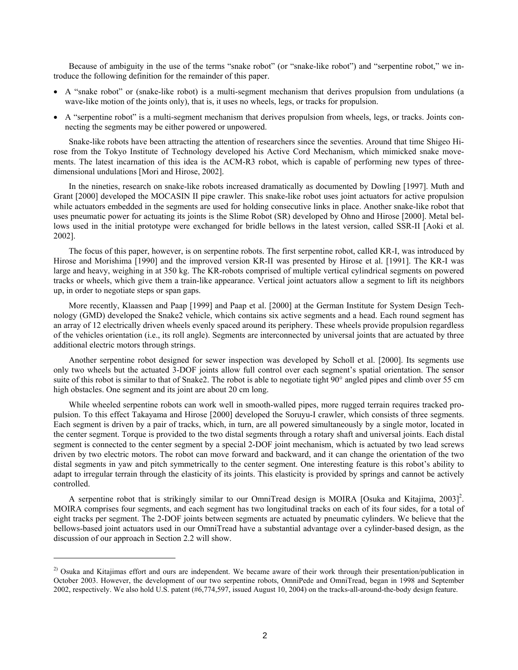Because of ambiguity in the use of the terms "snake robot" (or "snake-like robot") and "serpentine robot," we introduce the following definition for the remainder of this paper.

- A "snake robot" or (snake-like robot) is a multi-segment mechanism that derives propulsion from undulations (a wave-like motion of the joints only), that is, it uses no wheels, legs, or tracks for propulsion.
- A "serpentine robot" is a multi-segment mechanism that derives propulsion from wheels, legs, or tracks. Joints connecting the segments may be either powered or unpowered.

Snake-like robots have been attracting the attention of researchers since the seventies. Around that time Shigeo Hirose from the Tokyo Institute of Technology developed his Active Cord Mechanism, which mimicked snake movements. The latest incarnation of this idea is the ACM-R3 robot, which is capable of performing new types of threedimensional undulations [Mori and Hirose, 2002].

In the nineties, research on snake-like robots increased dramatically as documented by Dowling [1997]. Muth and Grant [2000] developed the MOCASIN II pipe crawler. This snake-like robot uses joint actuators for active propulsion while actuators embedded in the segments are used for holding consecutive links in place. Another snake-like robot that uses pneumatic power for actuating its joints is the Slime Robot (SR) developed by Ohno and Hirose [2000]. Metal bellows used in the initial prototype were exchanged for bridle bellows in the latest version, called SSR-II [Aoki et al. 2002].

The focus of this paper, however, is on serpentine robots. The first serpentine robot, called KR-I, was introduced by Hirose and Morishima [1990] and the improved version KR-II was presented by Hirose et al. [1991]. The KR-I was large and heavy, weighing in at 350 kg. The KR-robots comprised of multiple vertical cylindrical segments on powered tracks or wheels, which give them a train-like appearance. Vertical joint actuators allow a segment to lift its neighbors up, in order to negotiate steps or span gaps.

More recently, Klaassen and Paap [1999] and Paap et al. [2000] at the German Institute for System Design Technology (GMD) developed the Snake2 vehicle, which contains six active segments and a head. Each round segment has an array of 12 electrically driven wheels evenly spaced around its periphery. These wheels provide propulsion regardless of the vehicles orientation (i.e., its roll angle). Segments are interconnected by universal joints that are actuated by three additional electric motors through strings.

Another serpentine robot designed for sewer inspection was developed by Scholl et al. [2000]. Its segments use only two wheels but the actuated 3-DOF joints allow full control over each segment's spatial orientation. The sensor suite of this robot is similar to that of Snake2. The robot is able to negotiate tight 90° angled pipes and climb over 55 cm high obstacles. One segment and its joint are about 20 cm long.

While wheeled serpentine robots can work well in smooth-walled pipes, more rugged terrain requires tracked propulsion. To this effect Takayama and Hirose [2000] developed the Soruyu-I crawler, which consists of three segments. Each segment is driven by a pair of tracks, which, in turn, are all powered simultaneously by a single motor, located in the center segment. Torque is provided to the two distal segments through a rotary shaft and universal joints. Each distal segment is connected to the center segment by a special 2-DOF joint mechanism, which is actuated by two lead screws driven by two electric motors. The robot can move forward and backward, and it can change the orientation of the two distal segments in yaw and pitch symmetrically to the center segment. One interesting feature is this robot's ability to adapt to irregular terrain through the elasticity of its joints. This elasticity is provided by springs and cannot be actively controlled.

A serpentine robot that is strikingly similar to our OmniTread design is MOIRA [Osuka and Kitajima, 2003]<sup>2</sup>. MOIRA comprises four segments, and each segment has two longitudinal tracks on each of its four sides, for a total of eight tracks per segment. The 2-DOF joints between segments are actuated by pneumatic cylinders. We believe that the bellows-based joint actuators used in our OmniTread have a substantial advantage over a cylinder-based design, as the discussion of our approach in Section 2.2 will show.

-

<sup>&</sup>lt;sup>2)</sup> Osuka and Kitajimas effort and ours are independent. We became aware of their work through their presentation/publication in October 2003. However, the development of our two serpentine robots, OmniPede and OmniTread, began in 1998 and September 2002, respectively. We also hold U.S. patent (#6,774,597, issued August 10, 2004) on the tracks-all-around-the-body design feature.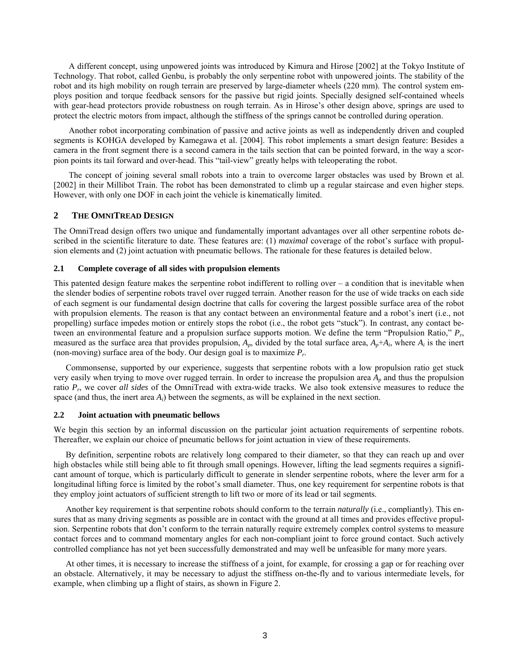A different concept, using unpowered joints was introduced by Kimura and Hirose [2002] at the Tokyo Institute of Technology. That robot, called Genbu, is probably the only serpentine robot with unpowered joints. The stability of the robot and its high mobility on rough terrain are preserved by large-diameter wheels (220 mm). The control system employs position and torque feedback sensors for the passive but rigid joints. Specially designed self-contained wheels with gear-head protectors provide robustness on rough terrain. As in Hirose's other design above, springs are used to protect the electric motors from impact, although the stiffness of the springs cannot be controlled during operation.

Another robot incorporating combination of passive and active joints as well as independently driven and coupled segments is KOHGA developed by Kamegawa et al. [2004]. This robot implements a smart design feature: Besides a camera in the front segment there is a second camera in the tails section that can be pointed forward, in the way a scorpion points its tail forward and over-head. This "tail-view" greatly helps with teleoperating the robot.

The concept of joining several small robots into a train to overcome larger obstacles was used by Brown et al. [2002] in their Millibot Train. The robot has been demonstrated to climb up a regular staircase and even higher steps. However, with only one DOF in each joint the vehicle is kinematically limited.

#### **2 THE OMNITREAD DESIGN**

The OmniTread design offers two unique and fundamentally important advantages over all other serpentine robots described in the scientific literature to date. These features are: (1) *maximal* coverage of the robot's surface with propulsion elements and (2) joint actuation with pneumatic bellows. The rationale for these features is detailed below.

#### **2.1 Complete coverage of all sides with propulsion elements**

This patented design feature makes the serpentine robot indifferent to rolling over – a condition that is inevitable when the slender bodies of serpentine robots travel over rugged terrain. Another reason for the use of wide tracks on each side of each segment is our fundamental design doctrine that calls for covering the largest possible surface area of the robot with propulsion elements. The reason is that any contact between an environmental feature and a robot's inert (i.e., not propelling) surface impedes motion or entirely stops the robot (i.e., the robot gets "stuck"). In contrast, any contact between an environmental feature and a propulsion surface supports motion. We define the term "Propulsion Ratio," *Pr*, measured as the surface area that provides propulsion,  $A_p$ , divided by the total surface area,  $A_p + A_i$ , where  $A_i$  is the inert (non-moving) surface area of the body. Our design goal is to maximize *Pr*.

Commonsense, supported by our experience, suggests that serpentine robots with a low propulsion ratio get stuck very easily when trying to move over rugged terrain. In order to increase the propulsion area *Ap* and thus the propulsion ratio *Pr*, we cover *all sides* of the OmniTread with extra-wide tracks. We also took extensive measures to reduce the space (and thus, the inert area  $A_i$ ) between the segments, as will be explained in the next section.

#### **2.2 Joint actuation with pneumatic bellows**

We begin this section by an informal discussion on the particular joint actuation requirements of serpentine robots. Thereafter, we explain our choice of pneumatic bellows for joint actuation in view of these requirements.

By definition, serpentine robots are relatively long compared to their diameter, so that they can reach up and over high obstacles while still being able to fit through small openings. However, lifting the lead segments requires a significant amount of torque, which is particularly difficult to generate in slender serpentine robots, where the lever arm for a longitudinal lifting force is limited by the robot's small diameter. Thus, one key requirement for serpentine robots is that they employ joint actuators of sufficient strength to lift two or more of its lead or tail segments.

Another key requirement is that serpentine robots should conform to the terrain *naturally* (i.e., compliantly). This ensures that as many driving segments as possible are in contact with the ground at all times and provides effective propulsion. Serpentine robots that don't conform to the terrain naturally require extremely complex control systems to measure contact forces and to command momentary angles for each non-compliant joint to force ground contact. Such actively controlled compliance has not yet been successfully demonstrated and may well be unfeasible for many more years.

At other times, it is necessary to increase the stiffness of a joint, for example, for crossing a gap or for reaching over an obstacle. Alternatively, it may be necessary to adjust the stiffness on-the-fly and to various intermediate levels, for example, when climbing up a flight of stairs, as shown in Figure 2.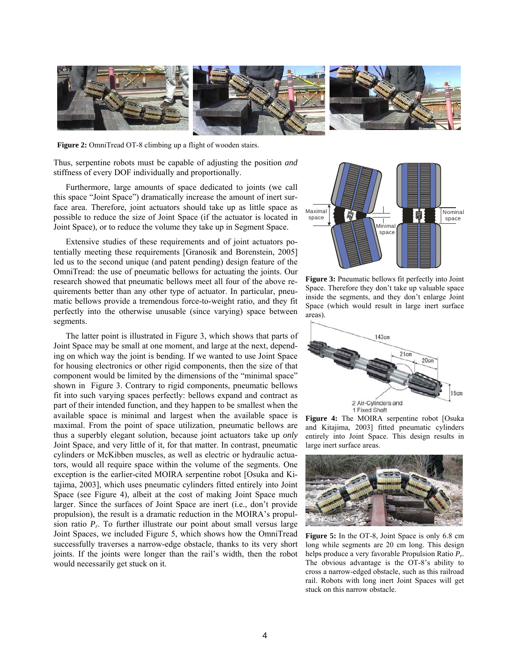

**Figure 2:** OmniTread OT-8 climbing up a flight of wooden stairs.

Thus, serpentine robots must be capable of adjusting the position *and* stiffness of every DOF individually and proportionally.

Furthermore, large amounts of space dedicated to joints (we call this space "Joint Space") dramatically increase the amount of inert surface area. Therefore, joint actuators should take up as little space as possible to reduce the size of Joint Space (if the actuator is located in Joint Space), or to reduce the volume they take up in Segment Space.

Extensive studies of these requirements and of joint actuators potentially meeting these requirements [Granosik and Borenstein, 2005] led us to the second unique (and patent pending) design feature of the OmniTread: the use of pneumatic bellows for actuating the joints. Our research showed that pneumatic bellows meet all four of the above requirements better than any other type of actuator. In particular, pneumatic bellows provide a tremendous force-to-weight ratio, and they fit perfectly into the otherwise unusable (since varying) space between segments.

The latter point is illustrated in Figure 3, which shows that parts of Joint Space may be small at one moment, and large at the next, depending on which way the joint is bending. If we wanted to use Joint Space for housing electronics or other rigid components, then the size of that component would be limited by the dimensions of the "minimal space" shown in Figure 3. Contrary to rigid components, pneumatic bellows fit into such varying spaces perfectly: bellows expand and contract as part of their intended function, and they happen to be smallest when the available space is minimal and largest when the available space is maximal. From the point of space utilization, pneumatic bellows are thus a superbly elegant solution, because joint actuators take up *only* Joint Space, and very little of it, for that matter. In contrast, pneumatic cylinders or McKibben muscles, as well as electric or hydraulic actuators, would all require space within the volume of the segments. One exception is the earlier-cited MOIRA serpentine robot [Osuka and Kitajima, 2003], which uses pneumatic cylinders fitted entirely into Joint Space (see Figure 4), albeit at the cost of making Joint Space much larger. Since the surfaces of Joint Space are inert (i.e., don't provide propulsion), the result is a dramatic reduction in the MOIRA's propulsion ratio *Pr*. To further illustrate our point about small versus large Joint Spaces, we included Figure 5, which shows how the OmniTread successfully traverses a narrow-edge obstacle, thanks to its very short joints. If the joints were longer than the rail's width, then the robot would necessarily get stuck on it.



Figure 3: Pneumatic bellows fit perfectly into Joint Space. Therefore they don't take up valuable space inside the segments, and they don't enlarge Joint Space (which would result in large inert surface areas).







**Figure 5:** In the OT-8, Joint Space is only 6.8 cm long while segments are 20 cm long. This design helps produce a very favorable Propulsion Ratio *Pr*. The obvious advantage is the OT-8's ability to cross a narrow-edged obstacle, such as this railroad rail. Robots with long inert Joint Spaces will get stuck on this narrow obstacle.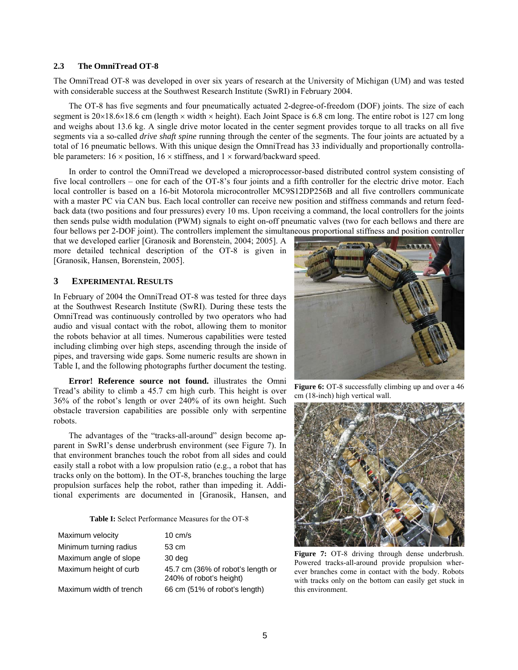#### **2.3 The OmniTread OT-8**

The OmniTread OT-8 was developed in over six years of research at the University of Michigan (UM) and was tested with considerable success at the Southwest Research Institute (SwRI) in February 2004.

The OT-8 has five segments and four pneumatically actuated 2-degree-of-freedom (DOF) joints. The size of each segment is 20×18.6×18.6 cm (length × width × height). Each Joint Space is 6.8 cm long. The entire robot is 127 cm long and weighs about 13.6 kg. A single drive motor located in the center segment provides torque to all tracks on all five segments via a so-called *drive shaft spine* running through the center of the segments. The four joints are actuated by a total of 16 pneumatic bellows. With this unique design the OmniTread has 33 individually and proportionally controllable parameters:  $16 \times$  position,  $16 \times$  stiffness, and  $1 \times$  forward/backward speed.

In order to control the OmniTread we developed a microprocessor-based distributed control system consisting of five local controllers – one for each of the OT-8's four joints and a fifth controller for the electric drive motor. Each local controller is based on a 16-bit Motorola microcontroller MC9S12DP256B and all five controllers communicate with a master PC via CAN bus. Each local controller can receive new position and stiffness commands and return feedback data (two positions and four pressures) every 10 ms. Upon receiving a command, the local controllers for the joints then sends pulse width modulation (PWM) signals to eight on-off pneumatic valves (two for each bellows and there are four bellows per 2-DOF joint). The controllers implement the simultaneous proportional stiffness and position controller

that we developed earlier [Granosik and Borenstein, 2004; 2005]. A more detailed technical description of the OT-8 is given in [Granosik, Hansen, Borenstein, 2005].

### **3 EXPERIMENTAL RESULTS**

In February of 2004 the OmniTread OT-8 was tested for three days at the Southwest Research Institute (SwRI). During these tests the OmniTread was continuously controlled by two operators who had audio and visual contact with the robot, allowing them to monitor the robots behavior at all times. Numerous capabilities were tested including climbing over high steps, ascending through the inside of pipes, and traversing wide gaps. Some numeric results are shown in Table I, and the following photographs further document the testing.

**Error! Reference source not found.** illustrates the Omni Tread's ability to climb a 45.7 cm high curb. This height is over 36% of the robot's length or over 240% of its own height. Such obstacle traversion capabilities are possible only with serpentine robots.

The advantages of the "tracks-all-around" design become apparent in SwRI's dense underbrush environment (see Figure 7). In that environment branches touch the robot from all sides and could easily stall a robot with a low propulsion ratio (e.g., a robot that has tracks only on the bottom). In the OT-8, branches touching the large propulsion surfaces help the robot, rather than impeding it. Additional experiments are documented in [Granosik, Hansen, and

**Table I:** Select Performance Measures for the OT-8

| Maximum velocity        | 10 $cm/s$                                                    |
|-------------------------|--------------------------------------------------------------|
| Minimum turning radius  | 53 cm                                                        |
| Maximum angle of slope  | 30 deg                                                       |
| Maximum height of curb  | 45.7 cm (36% of robot's length or<br>240% of robot's height) |
| Maximum width of trench | 66 cm (51% of robot's length)                                |



**Figure 6:** OT-8 successfully climbing up and over a 46 cm (18-inch) high vertical wall.



**Figure 7:** OT-8 driving through dense underbrush. Powered tracks-all-around provide propulsion wherever branches come in contact with the body. Robots with tracks only on the bottom can easily get stuck in this environment.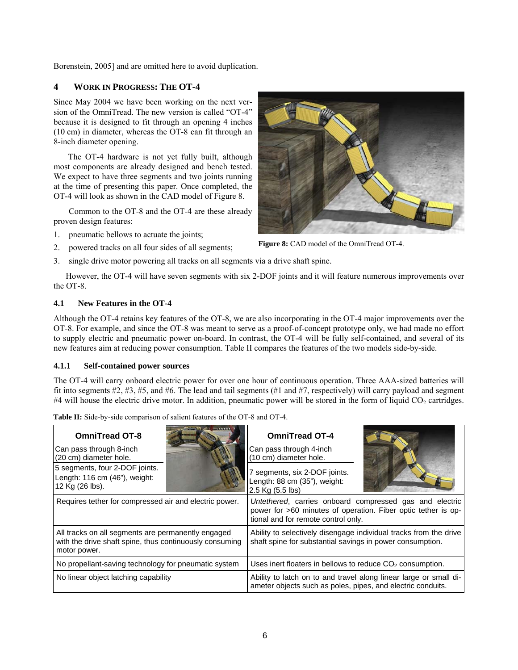Borenstein, 2005] and are omitted here to avoid duplication.

## **4 WORK IN PROGRESS: THE OT-4**

Since May 2004 we have been working on the next version of the OmniTread. The new version is called "OT-4" because it is designed to fit through an opening 4 inches (10 cm) in diameter, whereas the OT-8 can fit through an 8-inch diameter opening.

The OT-4 hardware is not yet fully built, although most components are already designed and bench tested. We expect to have three segments and two joints running at the time of presenting this paper. Once completed, the OT-4 will look as shown in the CAD model of Figure 8.

Common to the OT-8 and the OT-4 are these already proven design features:

- 1. pneumatic bellows to actuate the joints;
- 2. powered tracks on all four sides of all segments;
- 3. single drive motor powering all tracks on all segments via a drive shaft spine.

However, the OT-4 will have seven segments with six 2-DOF joints and it will feature numerous improvements over the OT-8.

# **4.1 New Features in the OT-4**

Although the OT-4 retains key features of the OT-8, we are also incorporating in the OT-4 major improvements over the OT-8. For example, and since the OT-8 was meant to serve as a proof-of-concept prototype only, we had made no effort to supply electric and pneumatic power on-board. In contrast, the OT-4 will be fully self-contained, and several of its new features aim at reducing power consumption. Table II compares the features of the two models side-by-side.

## **4.1.1 Self-contained power sources**

The OT-4 will carry onboard electric power for over one hour of continuous operation. Three AAA-sized batteries will fit into segments  $\#2$ ,  $\#3$ ,  $\#5$ , and  $\#6$ . The lead and tail segments ( $\#1$  and  $\#7$ , respectively) will carry payload and segment  $#4$  will house the electric drive motor. In addition, pneumatic power will be stored in the form of liquid  $CO<sub>2</sub>$  cartridges.

**Table II:** Side-by-side comparison of salient features of the OT-8 and OT-4.

| <b>OmniTread OT-8</b>                                                                                                         | <b>OmniTread OT-4</b>                                                                                                                                           |
|-------------------------------------------------------------------------------------------------------------------------------|-----------------------------------------------------------------------------------------------------------------------------------------------------------------|
| Can pass through 8-inch<br>(20 cm) diameter hole.                                                                             | Can pass through 4-inch<br>(10 cm) diameter hole.                                                                                                               |
| 5 segments, four 2-DOF joints.<br>Length: 116 cm (46"), weight:<br>12 Kg (26 lbs).                                            | 7 segments, six 2-DOF joints.<br>Length: 88 cm (35"), weight:<br>2.5 Kg (5.5 lbs)                                                                               |
| Requires tether for compressed air and electric power.                                                                        | Untethered, carries onboard compressed gas and electric<br>power for >60 minutes of operation. Fiber optic tether is op-<br>tional and for remote control only. |
| All tracks on all segments are permanently engaged<br>with the drive shaft spine, thus continuously consuming<br>motor power. | Ability to selectively disengage individual tracks from the drive<br>shaft spine for substantial savings in power consumption.                                  |
| No propellant-saving technology for pneumatic system                                                                          | Uses inert floaters in bellows to reduce $CO2$ consumption.                                                                                                     |
| No linear object latching capability                                                                                          | Ability to latch on to and travel along linear large or small di-<br>ameter objects such as poles, pipes, and electric conduits.                                |



**Figure 8:** CAD model of the OmniTread OT-4.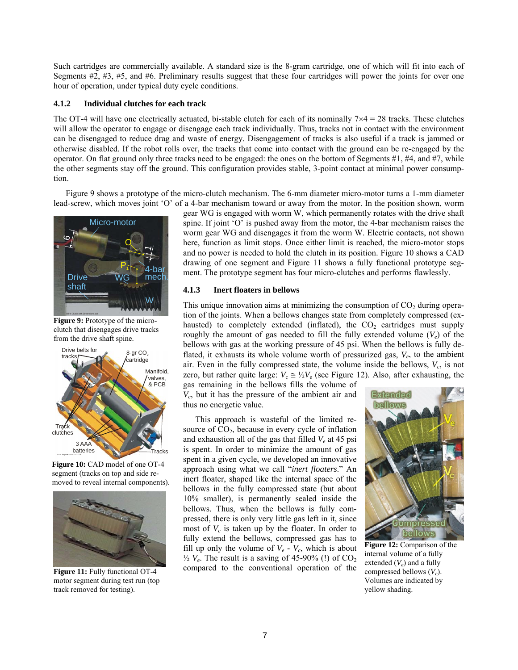Such cartridges are commercially available. A standard size is the 8-gram cartridge, one of which will fit into each of Segments #2, #3, #5, and #6. Preliminary results suggest that these four cartridges will power the joints for over one hour of operation, under typical duty cycle conditions.

## **4.1.2 Individual clutches for each track**

The OT-4 will have one electrically actuated, bi-stable clutch for each of its nominally  $7\times4 = 28$  tracks. These clutches will allow the operator to engage or disengage each track individually. Thus, tracks not in contact with the environment can be disengaged to reduce drag and waste of energy. Disengagement of tracks is also useful if a track is jammed or otherwise disabled. If the robot rolls over, the tracks that come into contact with the ground can be re-engaged by the operator. On flat ground only three tracks need to be engaged: the ones on the bottom of Segments  $\#1$ ,  $\#4$ , and  $\#7$ , while the other segments stay off the ground. This configuration provides stable, 3-point contact at minimal power consumption.

Figure 9 shows a prototype of the micro-clutch mechanism. The 6-mm diameter micro-motor turns a 1-mm diameter lead-screw, which moves joint 'O' of a 4-bar mechanism toward or away from the motor. In the position shown, worm



**Figure 9:** Prototype of the microclutch that disengages drive tracks from the drive shaft spine.



Figure 10: CAD model of one OT-4 segment (tracks on top and side removed to reveal internal components).



**Figure 11:** Fully functional OT-4 motor segment during test run (top track removed for testing).

gear WG is engaged with worm W, which permanently rotates with the drive shaft spine. If joint 'O' is pushed away from the motor, the 4-bar mechanism raises the worm gear WG and disengages it from the worm W. Electric contacts, not shown here, function as limit stops. Once either limit is reached, the micro-motor stops and no power is needed to hold the clutch in its position. Figure 10 shows a CAD drawing of one segment and Figure 11 shows a fully functional prototype segment. The prototype segment has four micro-clutches and performs flawlessly.

#### **4.1.3 Inert floaters in bellows**

This unique innovation aims at minimizing the consumption of  $CO<sub>2</sub>$  during operation of the joints. When a bellows changes state from completely compressed (exhausted) to completely extended (inflated), the  $CO<sub>2</sub>$  cartridges must supply roughly the amount of gas needed to fill the fully extended volume  $(V_e)$  of the bellows with gas at the working pressure of 45 psi. When the bellows is fully deflated, it exhausts its whole volume worth of pressurized gas, *Ve*, to the ambient air. Even in the fully compressed state, the volume inside the bellows,  $V_c$ , is not zero, but rather quite large:  $V_c \approx \frac{1}{2} V_e$  (see Figure 12). Also, after exhausting, the

gas remaining in the bellows fills the volume of *Vc*, but it has the pressure of the ambient air and thus no energetic value.

This approach is wasteful of the limited resource of  $CO<sub>2</sub>$ , because in every cycle of inflation and exhaustion all of the gas that filled  $V_e$  at 45 psi is spent. In order to minimize the amount of gas spent in a given cycle, we developed an innovative approach using what we call "*inert floaters*." An inert floater, shaped like the internal space of the bellows in the fully compressed state (but about 10% smaller), is permanently sealed inside the bellows. Thus, when the bellows is fully compressed, there is only very little gas left in it, since most of  $V_c$  is taken up by the floater. In order to fully extend the bellows, compressed gas has to fill up only the volume of  $V_e$  -  $V_c$ , which is about  $\frac{1}{2}V_e$ . The result is a saving of 45-90% (!) of CO<sub>2</sub> compared to the conventional operation of the



**Figure 12:** Comparison of the internal volume of a fully extended  $(V_e)$  and a fully compressed bellows  $(V_c)$ . Volumes are indicated by yellow shading.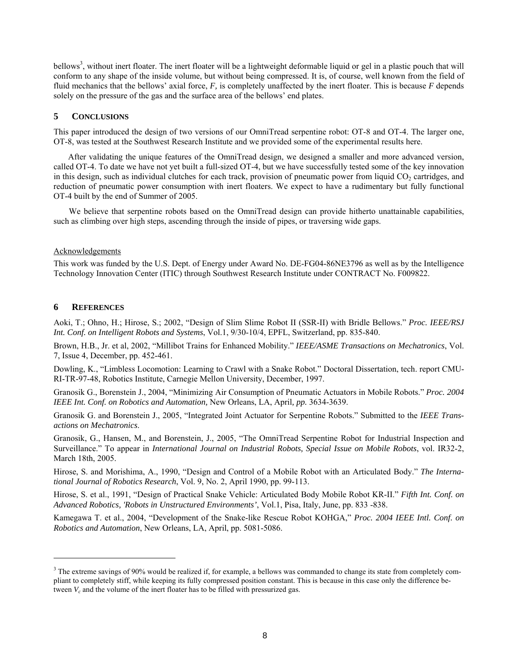bellows<sup>3</sup>, without inert floater. The inert floater will be a lightweight deformable liquid or gel in a plastic pouch that will conform to any shape of the inside volume, but without being compressed. It is, of course, well known from the field of fluid mechanics that the bellows' axial force, *F,* is completely unaffected by the inert floater. This is because *F* depends solely on the pressure of the gas and the surface area of the bellows' end plates.

## **5 CONCLUSIONS**

This paper introduced the design of two versions of our OmniTread serpentine robot: OT-8 and OT-4. The larger one, OT-8, was tested at the Southwest Research Institute and we provided some of the experimental results here.

After validating the unique features of the OmniTread design, we designed a smaller and more advanced version, called OT-4. To date we have not yet built a full-sized OT-4, but we have successfully tested some of the key innovation in this design, such as individual clutches for each track, provision of pneumatic power from liquid  $CO<sub>2</sub>$  cartridges, and reduction of pneumatic power consumption with inert floaters. We expect to have a rudimentary but fully functional OT-4 built by the end of Summer of 2005.

We believe that serpentine robots based on the OmniTread design can provide hitherto unattainable capabilities, such as climbing over high steps, ascending through the inside of pipes, or traversing wide gaps.

#### Acknowledgements

This work was funded by the U.S. Dept. of Energy under Award No. DE-FG04-86NE3796 as well as by the Intelligence Technology Innovation Center (ITIC) through Southwest Research Institute under CONTRACT No. F009822.

# **6 REFERENCES**

-

Aoki, T.; Ohno, H.; Hirose, S.; 2002, "Design of Slim Slime Robot II (SSR-II) with Bridle Bellows." *Proc. IEEE/RSJ Int. Conf. on Intelligent Robots and Systems*, Vol.1, 9/30-10/4, EPFL, Switzerland, pp. 835-840.

Brown, H.B., Jr. et al, 2002, "Millibot Trains for Enhanced Mobility." *IEEE/ASME Transactions on Mechatronics*, Vol. 7, Issue 4, December, pp. 452-461.

Dowling, K., "Limbless Locomotion: Learning to Crawl with a Snake Robot." Doctoral Dissertation, tech. report CMU-RI-TR-97-48, Robotics Institute, Carnegie Mellon University, December, 1997.

Granosik G., Borenstein J., 2004, "Minimizing Air Consumption of Pneumatic Actuators in Mobile Robots." *Proc. 2004 IEEE Int. Conf. on Robotics and Automation,* New Orleans, LA, April*, pp.* 3634-3639.

Granosik G. and Borenstein J., 2005, "Integrated Joint Actuator for Serpentine Robots." Submitted to the *IEEE Transactions on Mechatronics*.

Granosik, G., Hansen, M., and Borenstein, J., 2005, "The OmniTread Serpentine Robot for Industrial Inspection and Surveillance." To appear in *International Journal on Industrial Robots, Special Issue on Mobile Robots*, vol. IR32-2, March 18th, 2005.

Hirose, S. and Morishima, A., 1990, "Design and Control of a Mobile Robot with an Articulated Body." *The International Journal of Robotics Research*, Vol. 9, No. 2, April 1990, pp. 99-113.

Hirose, S. et al., 1991, "Design of Practical Snake Vehicle: Articulated Body Mobile Robot KR-II." *Fifth Int. Conf. on Advanced Robotics, 'Robots in Unstructured Environments'*, Vol.1, Pisa, Italy, June, pp. 833 -838.

Kamegawa T. et al., 2004, "Development of the Snake-like Rescue Robot KOHGA," *Proc. 2004 IEEE Intl. Conf. on Robotics and Automation*, New Orleans, LA, April, pp. 5081-5086.

 $3$  The extreme savings of 90% would be realized if, for example, a bellows was commanded to change its state from completely compliant to completely stiff, while keeping its fully compressed position constant. This is because in this case only the difference between  $V_c$  and the volume of the inert floater has to be filled with pressurized gas.